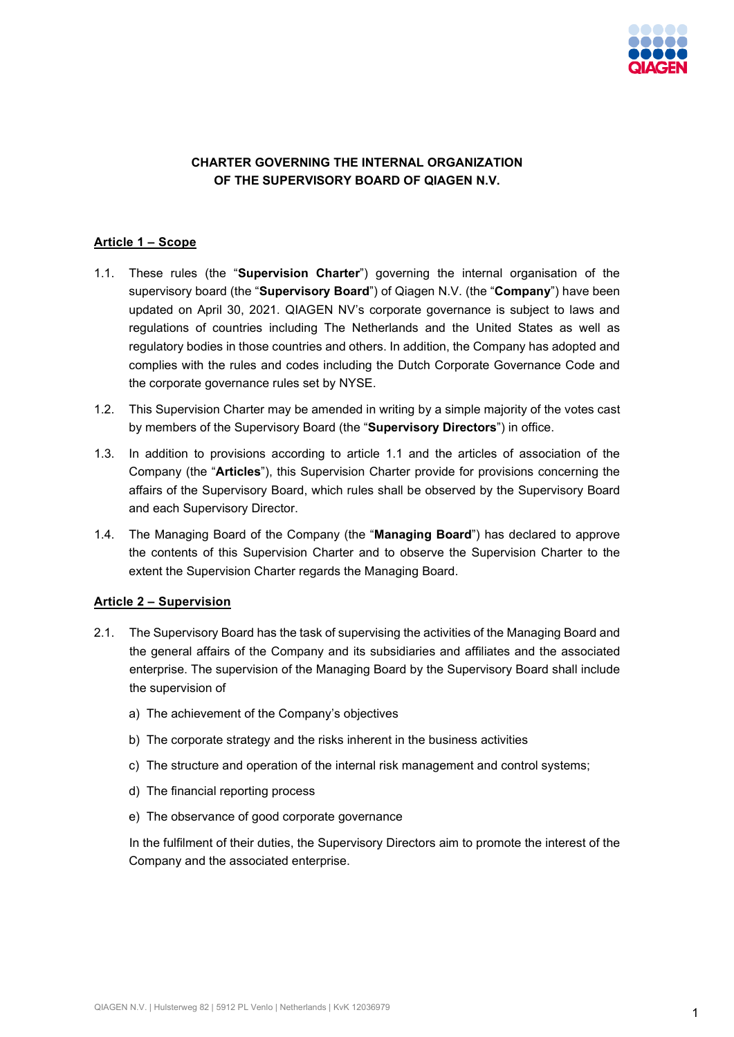

# **CHARTER GOVERNING THE INTERNAL ORGANIZATION OF THE SUPERVISORY BOARD OF QIAGEN N.V.**

## **Article 1 – Scope**

- 1.1. These rules (the "**Supervision Charter**") governing the internal organisation of the supervisory board (the "**Supervisory Board**") of Qiagen N.V. (the "**Company**") have been updated on April 30, 2021. QIAGEN NV's corporate governance is subject to laws and regulations of countries including The Netherlands and the United States as well as regulatory bodies in those countries and others. In addition, the Company has adopted and complies with the rules and codes including the Dutch Corporate Governance Code and the corporate governance rules set by NYSE.
- 1.2. This Supervision Charter may be amended in writing by a simple majority of the votes cast by members of the Supervisory Board (the "**Supervisory Directors**") in office.
- 1.3. In addition to provisions according to article 1.1 and the articles of association of the Company (the "**Articles**"), this Supervision Charter provide for provisions concerning the affairs of the Supervisory Board, which rules shall be observed by the Supervisory Board and each Supervisory Director.
- 1.4. The Managing Board of the Company (the "**Managing Board**") has declared to approve the contents of this Supervision Charter and to observe the Supervision Charter to the extent the Supervision Charter regards the Managing Board.

#### **Article 2 – Supervision**

- 2.1. The Supervisory Board has the task of supervising the activities of the Managing Board and the general affairs of the Company and its subsidiaries and affiliates and the associated enterprise. The supervision of the Managing Board by the Supervisory Board shall include the supervision of
	- a) The achievement of the Company's objectives
	- b) The corporate strategy and the risks inherent in the business activities
	- c) The structure and operation of the internal risk management and control systems;
	- d) The financial reporting process
	- e) The observance of good corporate governance

In the fulfilment of their duties, the Supervisory Directors aim to promote the interest of the Company and the associated enterprise.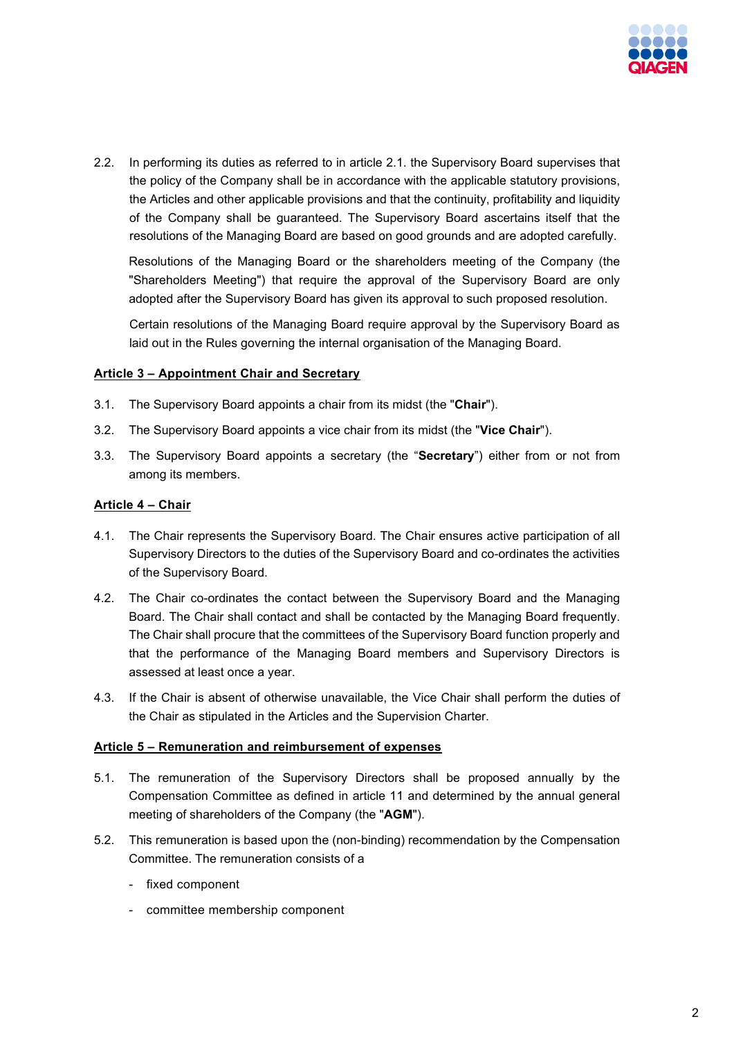

2.2. In performing its duties as referred to in article 2.1. the Supervisory Board supervises that the policy of the Company shall be in accordance with the applicable statutory provisions, the Articles and other applicable provisions and that the continuity, profitability and liquidity of the Company shall be guaranteed. The Supervisory Board ascertains itself that the resolutions of the Managing Board are based on good grounds and are adopted carefully.

Resolutions of the Managing Board or the shareholders meeting of the Company (the "Shareholders Meeting") that require the approval of the Supervisory Board are only adopted after the Supervisory Board has given its approval to such proposed resolution.

Certain resolutions of the Managing Board require approval by the Supervisory Board as laid out in the Rules governing the internal organisation of the Managing Board.

#### **Article 3 – Appointment Chair and Secretary**

- 3.1. The Supervisory Board appoints a chair from its midst (the "**Chair**").
- 3.2. The Supervisory Board appoints a vice chair from its midst (the "**Vice Chair**").
- 3.3. The Supervisory Board appoints a secretary (the "**Secretary**") either from or not from among its members.

### **Article 4 – Chair**

- 4.1. The Chair represents the Supervisory Board. The Chair ensures active participation of all Supervisory Directors to the duties of the Supervisory Board and co-ordinates the activities of the Supervisory Board.
- 4.2. The Chair co-ordinates the contact between the Supervisory Board and the Managing Board. The Chair shall contact and shall be contacted by the Managing Board frequently. The Chair shall procure that the committees of the Supervisory Board function properly and that the performance of the Managing Board members and Supervisory Directors is assessed at least once a year.
- 4.3. If the Chair is absent of otherwise unavailable, the Vice Chair shall perform the duties of the Chair as stipulated in the Articles and the Supervision Charter.

#### **Article 5 – Remuneration and reimbursement of expenses**

- 5.1. The remuneration of the Supervisory Directors shall be proposed annually by the Compensation Committee as defined in article 11 and determined by the annual general meeting of shareholders of the Company (the "**AGM**").
- 5.2. This remuneration is based upon the (non-binding) recommendation by the Compensation Committee. The remuneration consists of a
	- fixed component
	- committee membership component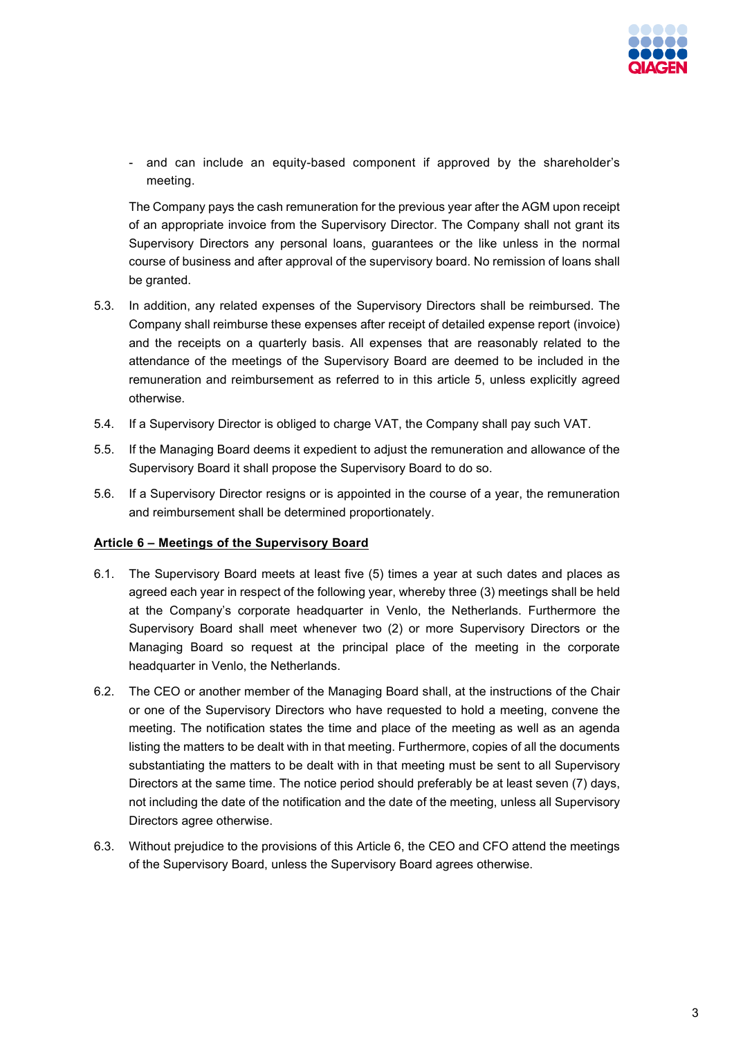

- and can include an equity-based component if approved by the shareholder's meeting.

The Company pays the cash remuneration for the previous year after the AGM upon receipt of an appropriate invoice from the Supervisory Director. The Company shall not grant its Supervisory Directors any personal loans, guarantees or the like unless in the normal course of business and after approval of the supervisory board. No remission of loans shall be granted.

- 5.3. In addition, any related expenses of the Supervisory Directors shall be reimbursed. The Company shall reimburse these expenses after receipt of detailed expense report (invoice) and the receipts on a quarterly basis. All expenses that are reasonably related to the attendance of the meetings of the Supervisory Board are deemed to be included in the remuneration and reimbursement as referred to in this article 5, unless explicitly agreed otherwise.
- 5.4. If a Supervisory Director is obliged to charge VAT, the Company shall pay such VAT.
- 5.5. If the Managing Board deems it expedient to adjust the remuneration and allowance of the Supervisory Board it shall propose the Supervisory Board to do so.
- 5.6. If a Supervisory Director resigns or is appointed in the course of a year, the remuneration and reimbursement shall be determined proportionately.

#### **Article 6 – Meetings of the Supervisory Board**

- 6.1. The Supervisory Board meets at least five (5) times a year at such dates and places as agreed each year in respect of the following year, whereby three (3) meetings shall be held at the Company's corporate headquarter in Venlo, the Netherlands. Furthermore the Supervisory Board shall meet whenever two (2) or more Supervisory Directors or the Managing Board so request at the principal place of the meeting in the corporate headquarter in Venlo, the Netherlands.
- 6.2. The CEO or another member of the Managing Board shall, at the instructions of the Chair or one of the Supervisory Directors who have requested to hold a meeting, convene the meeting. The notification states the time and place of the meeting as well as an agenda listing the matters to be dealt with in that meeting. Furthermore, copies of all the documents substantiating the matters to be dealt with in that meeting must be sent to all Supervisory Directors at the same time. The notice period should preferably be at least seven (7) days, not including the date of the notification and the date of the meeting, unless all Supervisory Directors agree otherwise.
- 6.3. Without prejudice to the provisions of this Article 6, the CEO and CFO attend the meetings of the Supervisory Board, unless the Supervisory Board agrees otherwise.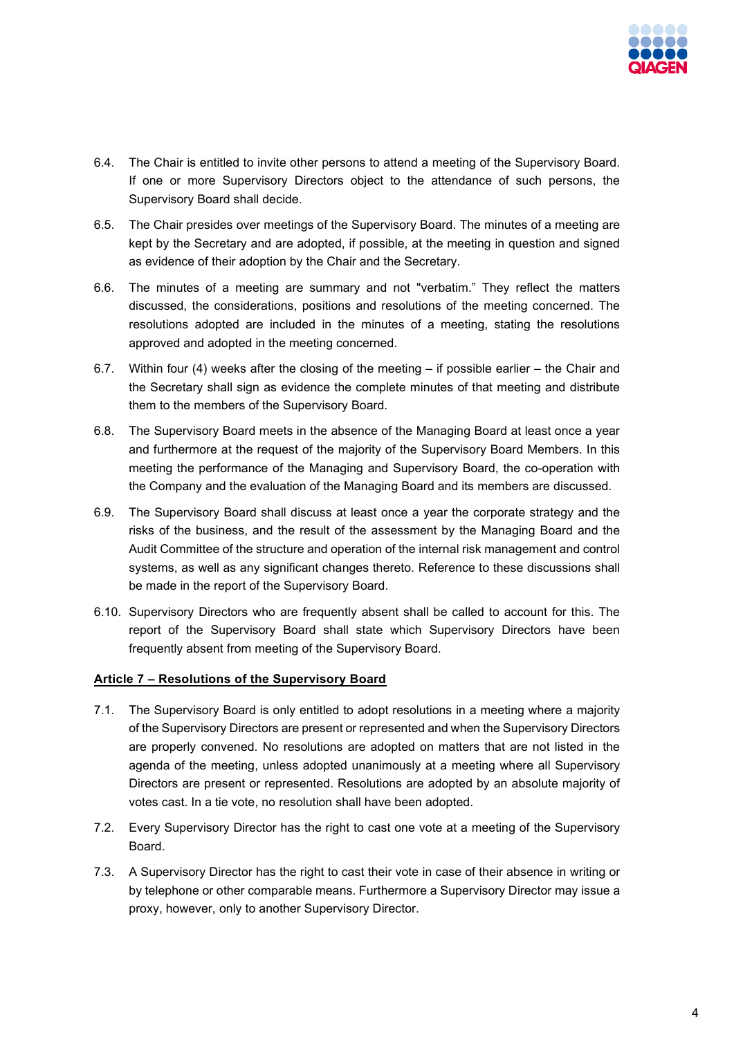

- 6.4. The Chair is entitled to invite other persons to attend a meeting of the Supervisory Board. If one or more Supervisory Directors object to the attendance of such persons, the Supervisory Board shall decide.
- 6.5. The Chair presides over meetings of the Supervisory Board. The minutes of a meeting are kept by the Secretary and are adopted, if possible, at the meeting in question and signed as evidence of their adoption by the Chair and the Secretary.
- 6.6. The minutes of a meeting are summary and not "verbatim." They reflect the matters discussed, the considerations, positions and resolutions of the meeting concerned. The resolutions adopted are included in the minutes of a meeting, stating the resolutions approved and adopted in the meeting concerned.
- 6.7. Within four (4) weeks after the closing of the meeting if possible earlier the Chair and the Secretary shall sign as evidence the complete minutes of that meeting and distribute them to the members of the Supervisory Board.
- 6.8. The Supervisory Board meets in the absence of the Managing Board at least once a year and furthermore at the request of the majority of the Supervisory Board Members. In this meeting the performance of the Managing and Supervisory Board, the co-operation with the Company and the evaluation of the Managing Board and its members are discussed.
- 6.9. The Supervisory Board shall discuss at least once a year the corporate strategy and the risks of the business, and the result of the assessment by the Managing Board and the Audit Committee of the structure and operation of the internal risk management and control systems, as well as any significant changes thereto. Reference to these discussions shall be made in the report of the Supervisory Board.
- 6.10. Supervisory Directors who are frequently absent shall be called to account for this. The report of the Supervisory Board shall state which Supervisory Directors have been frequently absent from meeting of the Supervisory Board.

#### **Article 7 – Resolutions of the Supervisory Board**

- 7.1. The Supervisory Board is only entitled to adopt resolutions in a meeting where a majority of the Supervisory Directors are present or represented and when the Supervisory Directors are properly convened. No resolutions are adopted on matters that are not listed in the agenda of the meeting, unless adopted unanimously at a meeting where all Supervisory Directors are present or represented. Resolutions are adopted by an absolute majority of votes cast. In a tie vote, no resolution shall have been adopted.
- 7.2. Every Supervisory Director has the right to cast one vote at a meeting of the Supervisory Board.
- 7.3. A Supervisory Director has the right to cast their vote in case of their absence in writing or by telephone or other comparable means. Furthermore a Supervisory Director may issue a proxy, however, only to another Supervisory Director.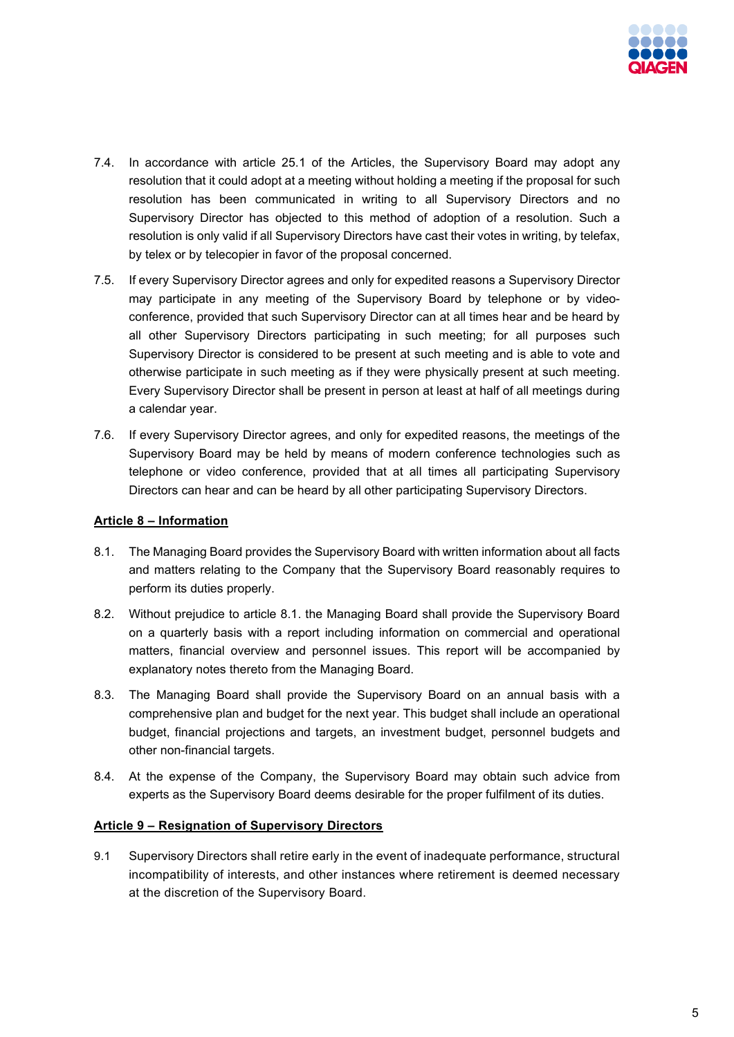

- 7.4. In accordance with article 25.1 of the Articles, the Supervisory Board may adopt any resolution that it could adopt at a meeting without holding a meeting if the proposal for such resolution has been communicated in writing to all Supervisory Directors and no Supervisory Director has objected to this method of adoption of a resolution. Such a resolution is only valid if all Supervisory Directors have cast their votes in writing, by telefax, by telex or by telecopier in favor of the proposal concerned.
- 7.5. If every Supervisory Director agrees and only for expedited reasons a Supervisory Director may participate in any meeting of the Supervisory Board by telephone or by videoconference, provided that such Supervisory Director can at all times hear and be heard by all other Supervisory Directors participating in such meeting; for all purposes such Supervisory Director is considered to be present at such meeting and is able to vote and otherwise participate in such meeting as if they were physically present at such meeting. Every Supervisory Director shall be present in person at least at half of all meetings during a calendar year.
- 7.6. If every Supervisory Director agrees, and only for expedited reasons, the meetings of the Supervisory Board may be held by means of modern conference technologies such as telephone or video conference, provided that at all times all participating Supervisory Directors can hear and can be heard by all other participating Supervisory Directors.

### **Article 8 – Information**

- 8.1. The Managing Board provides the Supervisory Board with written information about all facts and matters relating to the Company that the Supervisory Board reasonably requires to perform its duties properly.
- 8.2. Without prejudice to article 8.1. the Managing Board shall provide the Supervisory Board on a quarterly basis with a report including information on commercial and operational matters, financial overview and personnel issues. This report will be accompanied by explanatory notes thereto from the Managing Board.
- 8.3. The Managing Board shall provide the Supervisory Board on an annual basis with a comprehensive plan and budget for the next year. This budget shall include an operational budget, financial projections and targets, an investment budget, personnel budgets and other non-financial targets.
- 8.4. At the expense of the Company, the Supervisory Board may obtain such advice from experts as the Supervisory Board deems desirable for the proper fulfilment of its duties.

#### **Article 9 – Resignation of Supervisory Directors**

9.1 Supervisory Directors shall retire early in the event of inadequate performance, structural incompatibility of interests, and other instances where retirement is deemed necessary at the discretion of the Supervisory Board.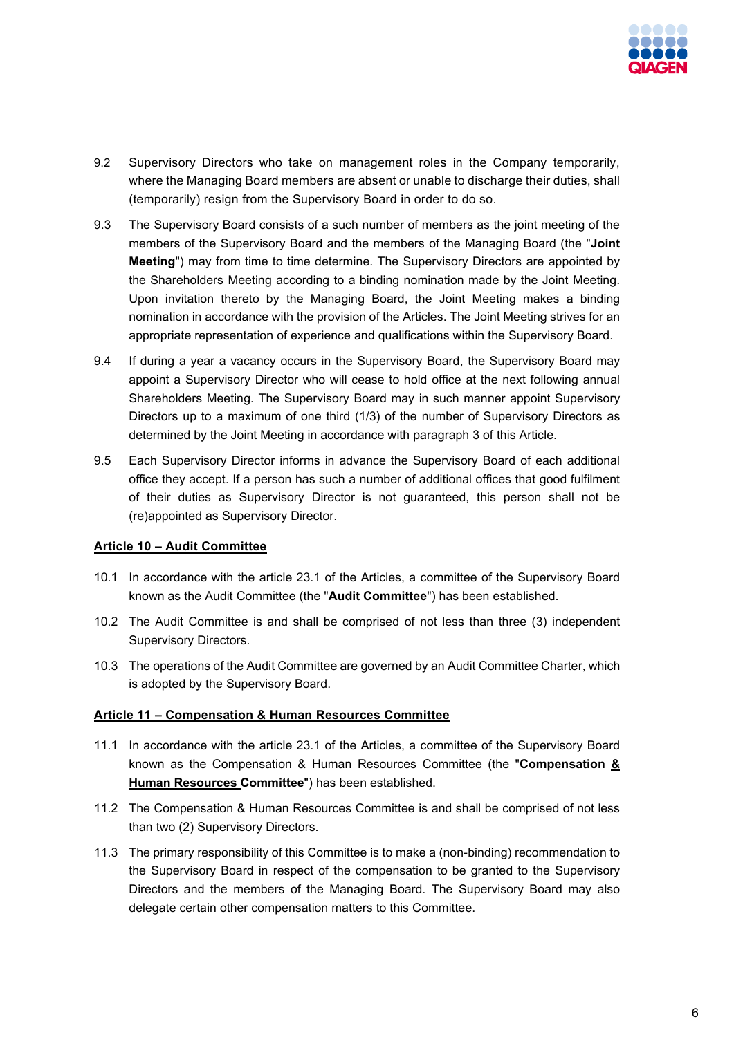

- 9.2 Supervisory Directors who take on management roles in the Company temporarily, where the Managing Board members are absent or unable to discharge their duties, shall (temporarily) resign from the Supervisory Board in order to do so.
- 9.3 The Supervisory Board consists of a such number of members as the joint meeting of the members of the Supervisory Board and the members of the Managing Board (the "**Joint Meeting**") may from time to time determine. The Supervisory Directors are appointed by the Shareholders Meeting according to a binding nomination made by the Joint Meeting. Upon invitation thereto by the Managing Board, the Joint Meeting makes a binding nomination in accordance with the provision of the Articles. The Joint Meeting strives for an appropriate representation of experience and qualifications within the Supervisory Board.
- 9.4 If during a year a vacancy occurs in the Supervisory Board, the Supervisory Board may appoint a Supervisory Director who will cease to hold office at the next following annual Shareholders Meeting. The Supervisory Board may in such manner appoint Supervisory Directors up to a maximum of one third (1/3) of the number of Supervisory Directors as determined by the Joint Meeting in accordance with paragraph 3 of this Article.
- 9.5 Each Supervisory Director informs in advance the Supervisory Board of each additional office they accept. If a person has such a number of additional offices that good fulfilment of their duties as Supervisory Director is not guaranteed, this person shall not be (re)appointed as Supervisory Director.

#### **Article 10 – Audit Committee**

- 10.1 In accordance with the article 23.1 of the Articles, a committee of the Supervisory Board known as the Audit Committee (the "**Audit Committee**") has been established.
- 10.2 The Audit Committee is and shall be comprised of not less than three (3) independent Supervisory Directors.
- 10.3 The operations of the Audit Committee are governed by an Audit Committee Charter, which is adopted by the Supervisory Board.

#### **Article 11 – Compensation & Human Resources Committee**

- 11.1 In accordance with the article 23.1 of the Articles, a committee of the Supervisory Board known as the Compensation & Human Resources Committee (the "**Compensation & Human Resources Committee**") has been established.
- 11.2 The Compensation & Human Resources Committee is and shall be comprised of not less than two (2) Supervisory Directors.
- 11.3 The primary responsibility of this Committee is to make a (non-binding) recommendation to the Supervisory Board in respect of the compensation to be granted to the Supervisory Directors and the members of the Managing Board. The Supervisory Board may also delegate certain other compensation matters to this Committee.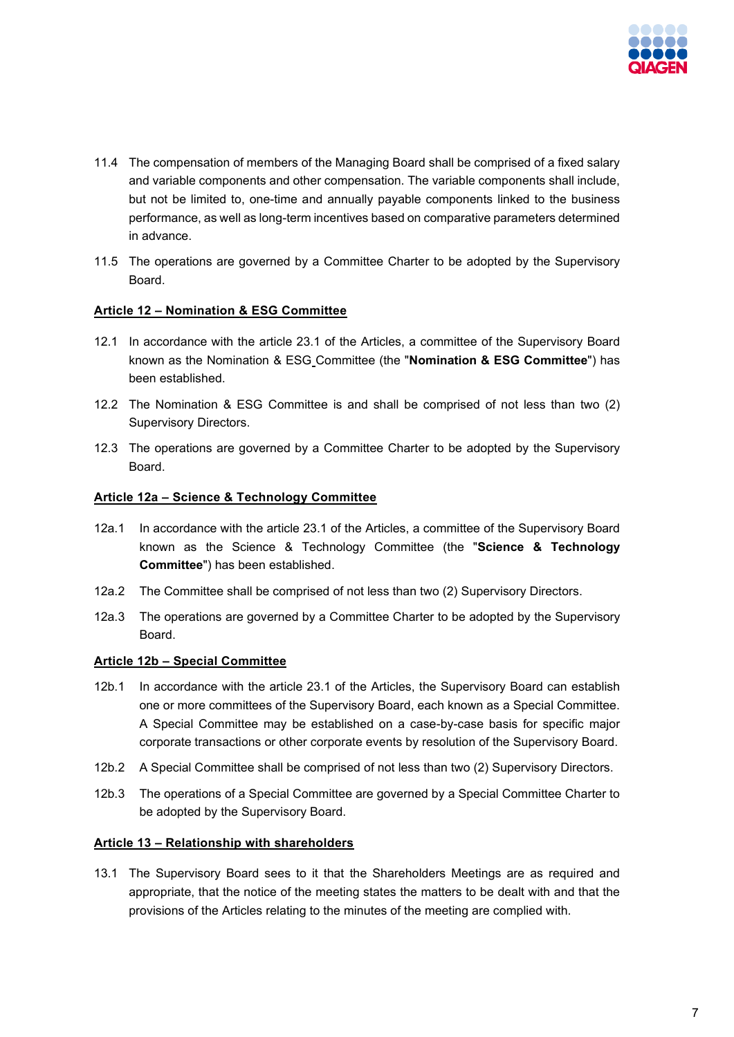

- 11.4 The compensation of members of the Managing Board shall be comprised of a fixed salary and variable components and other compensation. The variable components shall include, but not be limited to, one-time and annually payable components linked to the business performance, as well as long-term incentives based on comparative parameters determined in advance.
- 11.5 The operations are governed by a Committee Charter to be adopted by the Supervisory Board.

#### **Article 12 – Nomination & ESG Committee**

- 12.1 In accordance with the article 23.1 of the Articles, a committee of the Supervisory Board known as the Nomination & ESG Committee (the "**Nomination & ESG Committee**") has been established.
- 12.2 The Nomination & ESG Committee is and shall be comprised of not less than two (2) Supervisory Directors.
- 12.3 The operations are governed by a Committee Charter to be adopted by the Supervisory Board.

#### **Article 12a – Science & Technology Committee**

- 12a.1 In accordance with the article 23.1 of the Articles, a committee of the Supervisory Board known as the Science & Technology Committee (the "**Science & Technology Committee**") has been established.
- 12a.2 The Committee shall be comprised of not less than two (2) Supervisory Directors.
- 12a.3 The operations are governed by a Committee Charter to be adopted by the Supervisory Board.

#### **Article 12b – Special Committee**

- 12b.1 In accordance with the article 23.1 of the Articles, the Supervisory Board can establish one or more committees of the Supervisory Board, each known as a Special Committee. A Special Committee may be established on a case-by-case basis for specific major corporate transactions or other corporate events by resolution of the Supervisory Board.
- 12b.2 A Special Committee shall be comprised of not less than two (2) Supervisory Directors.
- 12b.3 The operations of a Special Committee are governed by a Special Committee Charter to be adopted by the Supervisory Board.

#### **Article 13 – Relationship with shareholders**

13.1 The Supervisory Board sees to it that the Shareholders Meetings are as required and appropriate, that the notice of the meeting states the matters to be dealt with and that the provisions of the Articles relating to the minutes of the meeting are complied with.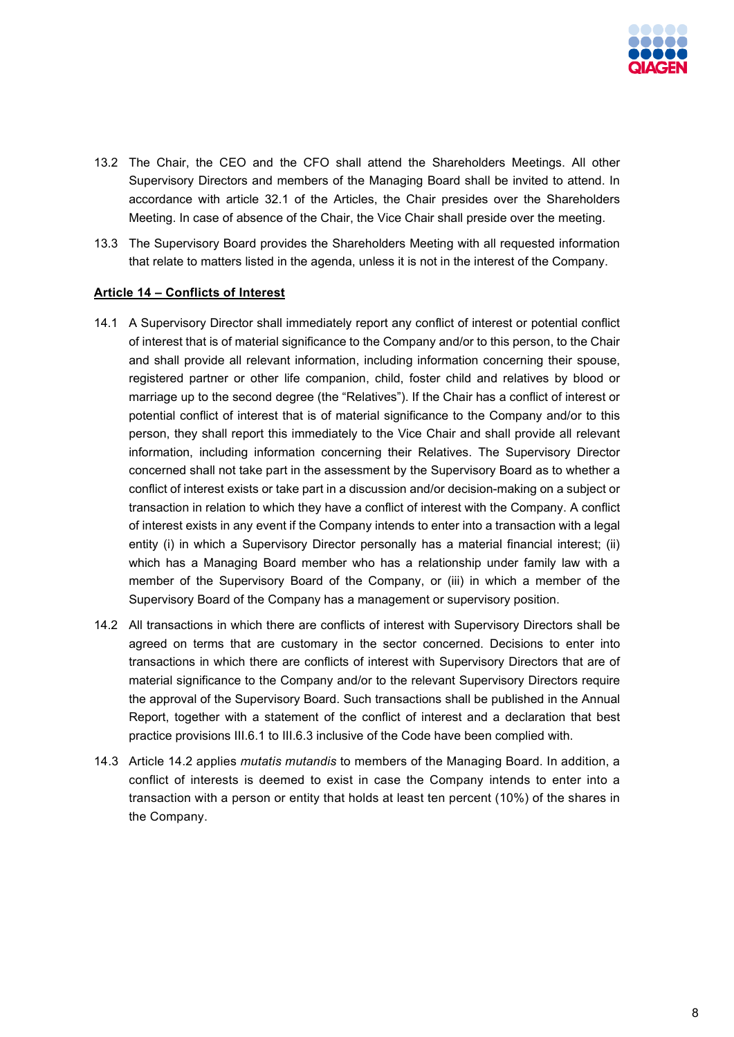

- 13.2 The Chair, the CEO and the CFO shall attend the Shareholders Meetings. All other Supervisory Directors and members of the Managing Board shall be invited to attend. In accordance with article 32.1 of the Articles, the Chair presides over the Shareholders Meeting. In case of absence of the Chair, the Vice Chair shall preside over the meeting.
- 13.3 The Supervisory Board provides the Shareholders Meeting with all requested information that relate to matters listed in the agenda, unless it is not in the interest of the Company.

### **Article 14 – Conflicts of Interest**

- 14.1 A Supervisory Director shall immediately report any conflict of interest or potential conflict of interest that is of material significance to the Company and/or to this person, to the Chair and shall provide all relevant information, including information concerning their spouse, registered partner or other life companion, child, foster child and relatives by blood or marriage up to the second degree (the "Relatives"). If the Chair has a conflict of interest or potential conflict of interest that is of material significance to the Company and/or to this person, they shall report this immediately to the Vice Chair and shall provide all relevant information, including information concerning their Relatives. The Supervisory Director concerned shall not take part in the assessment by the Supervisory Board as to whether a conflict of interest exists or take part in a discussion and/or decision-making on a subject or transaction in relation to which they have a conflict of interest with the Company. A conflict of interest exists in any event if the Company intends to enter into a transaction with a legal entity (i) in which a Supervisory Director personally has a material financial interest; (ii) which has a Managing Board member who has a relationship under family law with a member of the Supervisory Board of the Company, or (iii) in which a member of the Supervisory Board of the Company has a management or supervisory position.
- 14.2 All transactions in which there are conflicts of interest with Supervisory Directors shall be agreed on terms that are customary in the sector concerned. Decisions to enter into transactions in which there are conflicts of interest with Supervisory Directors that are of material significance to the Company and/or to the relevant Supervisory Directors require the approval of the Supervisory Board. Such transactions shall be published in the Annual Report, together with a statement of the conflict of interest and a declaration that best practice provisions III.6.1 to III.6.3 inclusive of the Code have been complied with.
- 14.3 Article 14.2 applies *mutatis mutandis* to members of the Managing Board. In addition, a conflict of interests is deemed to exist in case the Company intends to enter into a transaction with a person or entity that holds at least ten percent (10%) of the shares in the Company.